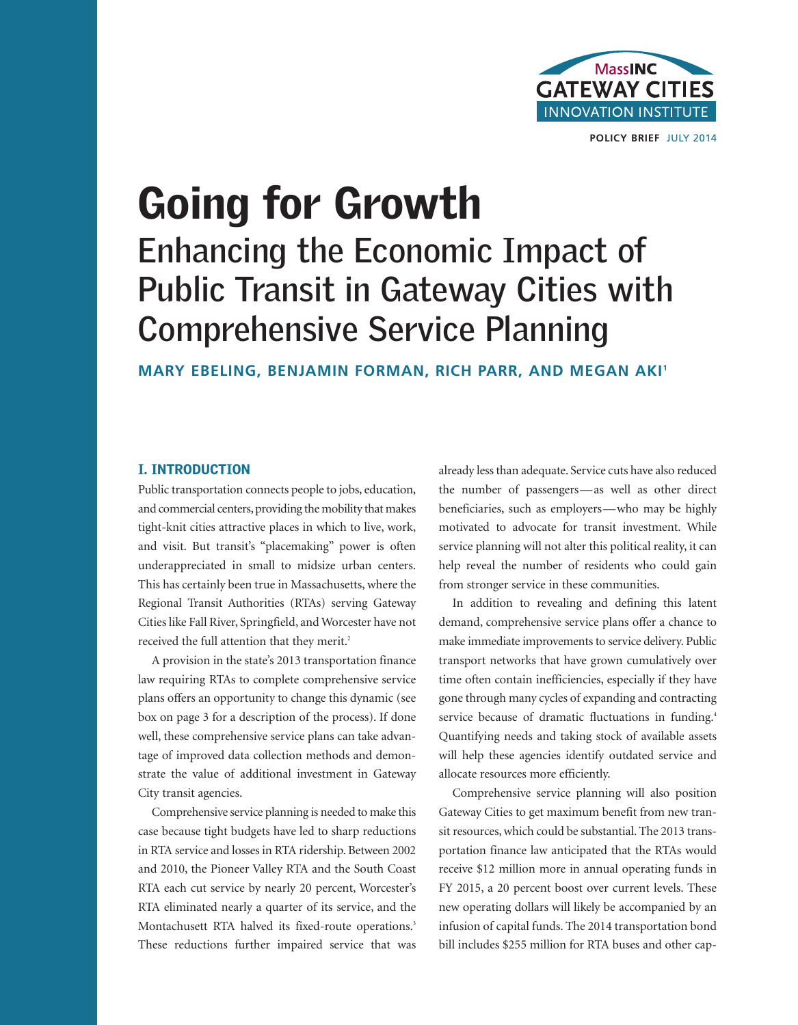

**POLICY BRIEF** JULY 2014

# **Going for Growth Enhancing the Economic Impact of Public Transit in Gateway Cities with Comprehensive Service Planning**

**MARY EBELING, BENJAMIN FORMAN, RICH PARR, AND MEGAN AKI 1**

### **I. INTRODUCTION**

Public transportation connects people to jobs, education, and commercial centers, providing the mobility that makes tight-knit cities attractive places in which to live, work, and visit. But transit's "placemaking" power is often underappreciated in small to midsize urban centers. This has certainly been true in Massachusetts, where the Regional Transit Authorities (RTAs) serving Gateway Cities like Fall River, Springfield, and Worcester have not received the full attention that they merit. 2

A provision in the state's 2013 transportation finance law requiring RTAs to complete comprehensive service plans offers an opportunity to change this dynamic (see box on page 3 for a description of the process). If done well, these comprehensive service plans can take advantage of improved data collection methods and demonstrate the value of additional investment in Gateway City transit agencies.

Comprehensive service planning is needed to make this case because tight budgets have led to sharp reductions in RTA service and losses in RTA ridership. Between 2002 and 2010, the Pioneer Valley RTA and the South Coast RTA each cut service by nearly 20 percent, Worcester's RTA eliminated nearly a quarter of its service, and the Montachusett RTA halved its fixed-route operations. 3 These reductions further impaired service that was already less than adequate. Service cuts have also reduced the number of passengers—as well as other direct beneficiaries, such as employers—who may be highly motivated to advocate for transit investment. While service planning will not alter this political reality, it can help reveal the number of residents who could gain from stronger service in these communities.

In addition to revealing and defining this latent demand, comprehensive service plans offer a chance to make immediate improvements to service delivery. Public transport networks that have grown cumulatively over time often contain inefficiencies, especially if they have gone through many cycles of expanding and contracting service because of dramatic fluctuations in funding.<sup>4</sup> Quantifying needs and taking stock of available assets will help these agencies identify outdated service and allocate resources more efficiently.

Comprehensive service planning will also position Gateway Cities to get maximum benefit from new transit resources, which could be substantial. The 2013 transportation finance law anticipated that the RTAs would receive \$12 million more in annual operating funds in FY 2015, a 20 percent boost over current levels. These new operating dollars will likely be accompanied by an infusion of capital funds. The 2014 transportation bond bill includes \$255 million for RTA buses and other cap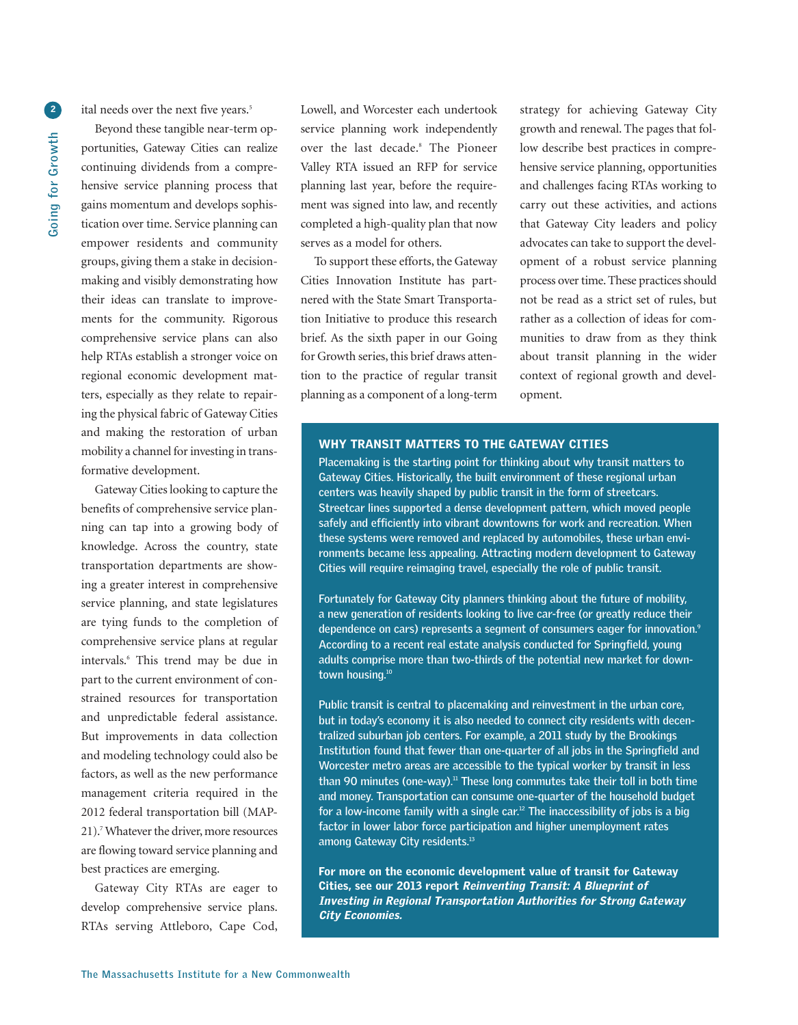**2**

ital needs over the next five years. 5

Beyond these tangible near-term opportunities, Gateway Cities can realize continuing dividends from a comprehensive service planning process that gains momentum and develops sophistication over time. Service planning can empower residents and community groups, giving them a stake in decisionmaking and visibly demonstrating how their ideas can translate to improvements for the community. Rigorous comprehensive service plans can also help RTAs establish a stronger voice on regional economic development matters, especially as they relate to repairing the physical fabric of Gateway Cities and making the restoration of urban mobility a channel for investing in transformative development.

Gateway Cities looking to capture the benefits of comprehensive service planning can tap into a growing body of knowledge. Across the country, state transportation departments are showing a greater interest in comprehensive service planning, and state legislatures are tying funds to the completion of comprehensive service plans at regular intervals. <sup>6</sup> This trend may be due in part to the current environment of constrained resources for transportation and unpredictable federal assistance. But improvements in data collection and modeling technology could also be factors, as well as the new performance management criteria required in the 2012 federal transportation bill (MAP-21).<sup>7</sup> Whatever the driver, more resources are flowing toward service planning and best practices are emerging.

Gateway City RTAs are eager to develop comprehensive service plans. RTAs serving Attleboro, Cape Cod,

Lowell, and Worcester each undertook service planning work independently over the last decade. <sup>8</sup> The Pioneer Valley RTA issued an RFP for service planning last year, before the requirement was signed into law, and recently completed a high-quality plan that now serves as a model for others.

To support these efforts, the Gateway Cities Innovation Institute has partnered with the State Smart Transportation Initiative to produce this research brief. As the sixth paper in our Going for Growth series, this brief draws attention to the practice of regular transit planning as a component of a long-term

strategy for achieving Gateway City growth and renewal. The pages that follow describe best practices in comprehensive service planning, opportunities and challenges facing RTAs working to carry out these activities, and actions that Gateway City leaders and policy advocates can take to support the development of a robust service planning process over time. These practices should not be read as a strict set of rules, but rather as a collection of ideas for communities to draw from as they think about transit planning in the wider context of regional growth and development.

#### **WHY TRANSIT MATTERS TO THE GATEWAY CITIES**

**Placemaking is the starting point for thinking about why transit matters to Gateway Cities. Historically, the built environment of these regional urban centers was heavily shaped by public transit in the form of streetcars. Streetcar lines supported a dense development pattern, which moved people safely and efficiently into vibrant downtowns for work and recreation. When these systems were removed and replaced by automobiles, these urban environments became less appealing. Attracting modern development to Gateway Cities will require reimaging travel, especially the role of public transit.**

**Fortunately for Gateway City planners thinking about the future of mobility, a new generation of residents looking to live car-free (or greatly reduce their dependence on cars) represents a segment of consumers eager for innovation. 9 According to a recent real estate analysis conducted for Springfield, young adults comprise more than two-thirds of the potential new market for downtown housing. 10**

**Public transit is central to placemaking and reinvestment in the urban core, but in today's economy it is also needed to connect city residents with decentralized suburban job centers. For example, a 2011 study by the Brookings Institution found that fewer than one-quarter of all jobs in the Springfield and Worcester metro areas are accessible to the typical worker by transit in less than 90 minutes (one-way). <sup>11</sup> These long commutes take their toll in both time and money. Transportation can consume one-quarter of the household budget for a low-income family with a single car. <sup>12</sup> The inaccessibility of jobs is a big factor in lower labor force participation and higher unemployment rates among Gateway City residents. 13**

**For more on the economic development value of transit for Gateway Cities, see our 2013 report Reinventing Transit: <sup>A</sup> Blueprint of Investing in Regional Transportation Authorities for Strong Gateway City Economies.**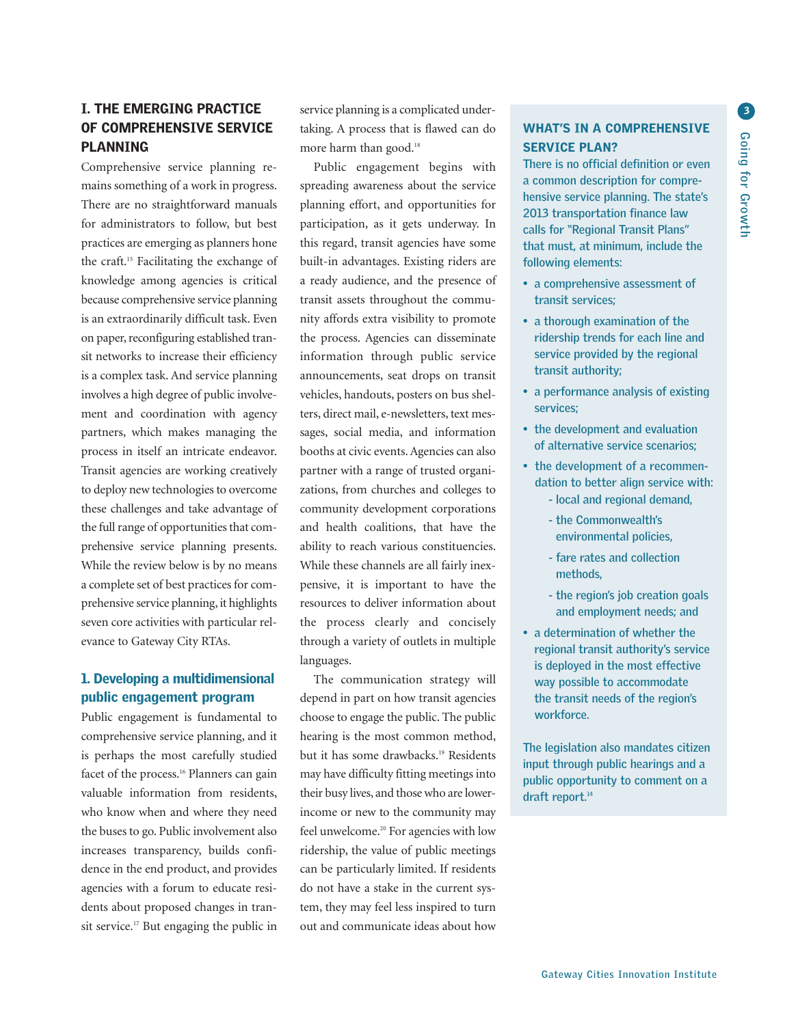## **I. THE EMERGING PRACTICE OF COMPREHENSIVE SERVICE PLANNING**

Comprehensive service planning remains something of a work in progress. There are no straightforward manuals for administrators to follow, but best practices are emerging as planners hone the craft. <sup>15</sup> Facilitating the exchange of knowledge among agencies is critical because comprehensive service planning is an extraordinarily difficult task. Even on paper, reconfiguring established transit networks to increase their efficiency is a complex task. And service planning involves a high degree of public involvement and coordination with agency partners, which makes managing the process in itself an intricate endeavor. Transit agencies are working creatively to deploy new technologies to overcome these challenges and take advantage of the full range of opportunities that comprehensive service planning presents. While the review below is by no means a complete set of best practices for comprehensive service planning, it highlights seven core activities with particular relevance to Gateway City RTAs.

## **1. Developing a multidimensional public engagement program**

Public engagement is fundamental to comprehensive service planning, and it is perhaps the most carefully studied facet of the process. <sup>16</sup> Planners can gain valuable information from residents, who know when and where they need the buses to go. Public involvement also increases transparency, builds confidence in the end product, and provides agencies with a forum to educate residents about proposed changes in transit service. <sup>17</sup> But engaging the public in

service planning is a complicated undertaking. A process that is flawed can do more harm than good. 18

Public engagement begins with spreading awareness about the service planning effort, and opportunities for participation, as it gets underway. In this regard, transit agencies have some built-in advantages. Existing riders are a ready audience, and the presence of transit assets throughout the community affords extra visibility to promote the process. Agencies can disseminate information through public service announcements, seat drops on transit vehicles, handouts, posters on bus shelters, direct mail, e-newsletters, text messages, social media, and information booths at civic events.Agencies can also partner with a range of trusted organizations, from churches and colleges to community development corporations and health coalitions, that have the ability to reach various constituencies. While these channels are all fairly inexpensive, it is important to have the resources to deliver information about the process clearly and concisely through a variety of outlets in multiple languages.

The communication strategy will depend in part on how transit agencies choose to engage the public. The public hearing is the most common method, but it has some drawbacks. <sup>19</sup> Residents may have difficulty fitting meetings into their busy lives, and thosewho are lowerincome or new to the community may feel unwelcome. <sup>20</sup> For agencies with low ridership, the value of public meetings can be particularly limited. If residents do not have a stake in the current system, they may feel less inspired to turn out and communicate ideas about how

## **WHAT'S IN A COMPREHENSIVE SERVICE PLAN?**

**There is no official definition or even a common description for comprehensive service planning. The state's 2013 transportation finance law calls for "Regional Transit Plans" that must, at minimum, include the following elements:**

- **• a comprehensive assessment of transit services;**
- **• a thorough examination of the ridership trends for each line and service provided by the regional transit authority;**
- **• a performance analysis of existing services;**
- **• the development and evaluation of alternative service scenarios;**
- **• the development of a recommendation to better align service with: - local and regional demand,**
	- **- the Commonwealth's environmental policies,**
	- **- fare rates and collection methods,**
	- **- the region's job creation goals and employment needs; and**
- **• a determination of whether the regional transit authority's service is deployed in the most effective way possible to accommodate the transit needs of the region's workforce.**

**The legislation also mandates citizen input through public hearings and a public opportunity to comment on a draft report. 14**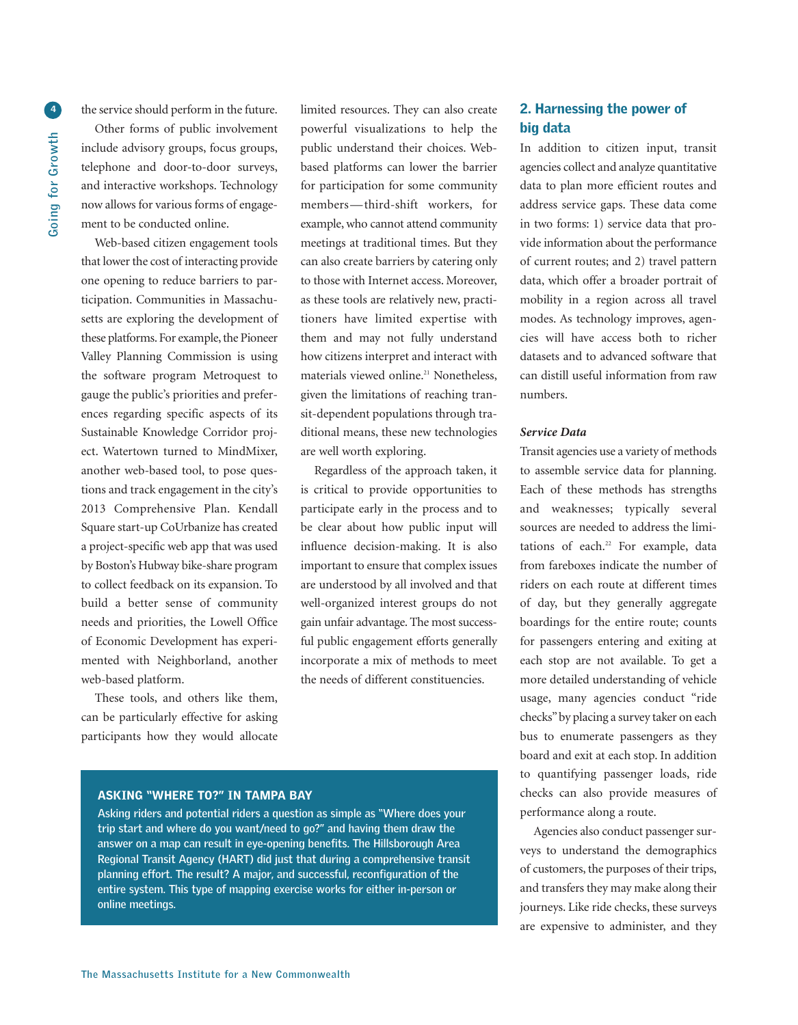**4**

the service should perform in the future.

Other forms of public involvement include advisory groups, focus groups, telephone and door-to-door surveys, and interactive workshops. Technology now allows for various forms of engagement to be conducted online.

Web-based citizen engagement tools that lower the cost of interacting provide one opening to reduce barriers to participation. Communities in Massachusetts are exploring the development of these platforms. For example, the Pioneer Valley Planning Commission is using the software program Metroquest to gauge the public's priorities and preferences regarding specific aspects of its Sustainable Knowledge Corridor project. Watertown turned to MindMixer, another web-based tool, to pose questions and track engagement in the city's 2013 Comprehensive Plan. Kendall Square start-up CoUrbanize has created a project-specific web app that was used by Boston's Hubway bike-share program to collect feedback on its expansion. To build a better sense of community needs and priorities, the Lowell Office of Economic Development has experimented with Neighborland, another web-based platform.

These tools, and others like them, can be particularly effective for asking participants how they would allocate limited resources. They can also create powerful visualizations to help the public understand their choices. Webbased platforms can lower the barrier for participation for some community members—third-shift workers, for example,who cannot attend community meetings at traditional times. But they can also create barriers by catering only to those with Internet access. Moreover, as these tools are relatively new, practitioners have limited expertise with them and may not fully understand how citizens interpret and interact with materials viewed online. <sup>21</sup> Nonetheless, given the limitations of reaching transit-dependent populations through traditional means, these new technologies are well worth exploring.

Regardless of the approach taken, it is critical to provide opportunities to participate early in the process and to be clear about how public input will influence decision-making. It is also important to ensure that complex issues are understood by all involved and that well-organized interest groups do not gain unfair advantage. The most successful public engagement efforts generally incorporate a mix of methods to meet the needs of different constituencies.

#### **ASKING "WHERE TO?" IN TAMPA BAY**

**Asking riders and potential riders a question as simple as "Where does your trip start and where do you want/need to go?" and having them draw the answer on a map can result in eye-opening benefits. The Hillsborough Area Regional Transit Agency (HART) did just that during a comprehensive transit planning effort. The result? A major, and successful, reconfiguration of the entire system. This type of mapping exercise works for either in-person or online meetings.**

## **2. Harnessing the power of big data**

In addition to citizen input, transit agencies collect and analyze quantitative data to plan more efficient routes and address service gaps. These data come in two forms: 1) service data that provide information about the performance of current routes; and 2) travel pattern data, which offer a broader portrait of mobility in a region across all travel modes. As technology improves, agencies will have access both to richer datasets and to advanced software that can distill useful information from raw numbers.

#### *Service Data*

Transit agencies use a variety of methods to assemble service data for planning. Each of these methods has strengths and weaknesses; typically several sources are needed to address the limitations of each. <sup>22</sup> For example, data from fareboxes indicate the number of riders on each route at different times of day, but they generally aggregate boardings for the entire route; counts for passengers entering and exiting at each stop are not available. To get a more detailed understanding of vehicle usage, many agencies conduct "ride checks"by placing a survey taker on each bus to enumerate passengers as they board and exit at each stop. In addition to quantifying passenger loads, ride checks can also provide measures of performance along a route.

Agencies also conduct passenger surveys to understand the demographics of customers, the purposes of their trips, and transfers they may make along their journeys. Like ride checks, these surveys are expensive to administer, and they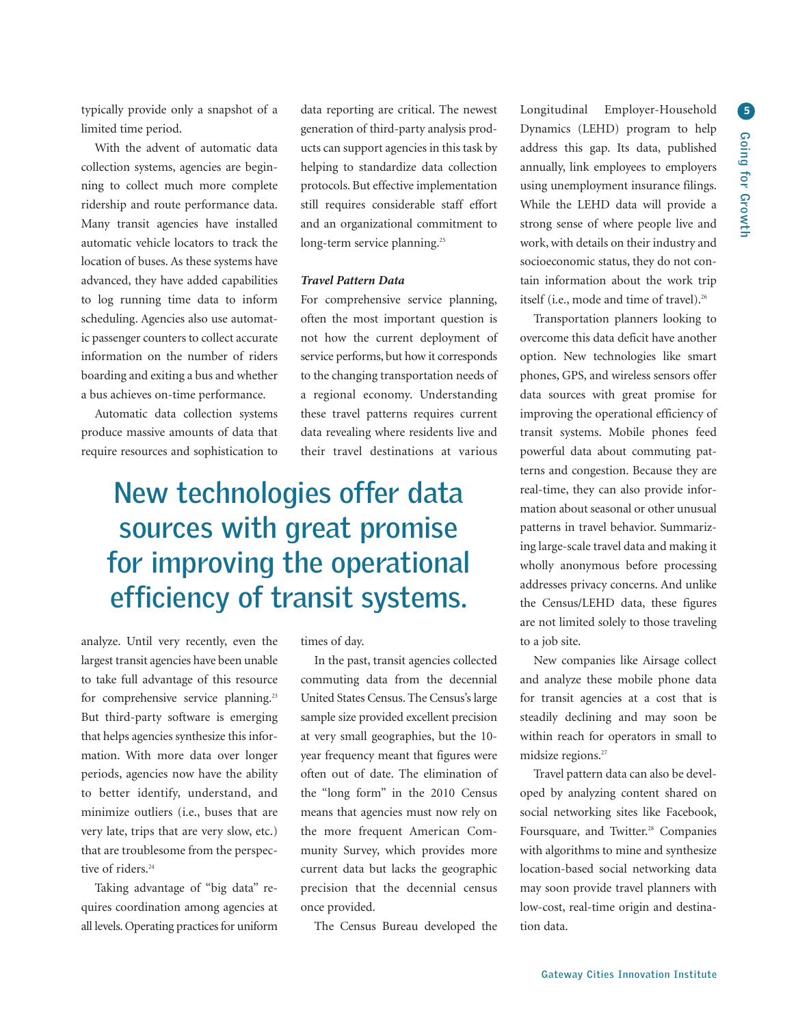typically provide only a snapshot of a limited time period.

With the advent of automatic data collection systems, agencies are beginning to collect much more complete ridership and route performance data. Many transit agencies have installed automatic vehicle locators to track the location of buses. As these systems have advanced, they have added capabilities to log running time data to inform scheduling. Agencies also use automatic passenger counters to collect accurate information on the number of riders boarding and exiting a bus and whether a bus achieves on-time performance.

Automatic data collection systems produce massive amounts of data that require resources and sophistication to data reporting are critical. The newest generation of third-party analysis products can support agencies in this task by helping to standardize data collection protocols. But effective implementation still requires considerable staff effort and an organizational commitment to long-term service planning. 25

#### *Travel Pattern Data*

For comprehensive service planning, often the most important question is not how the current deployment of service performs, but how it corresponds to the changing transportation needs of a regional economy. Understanding these travel patterns requires current data revealing where residents live and their travel destinations at various

## **New technologies offer data sources with great promise for improving the operational efficiency of transit systems.**

analyze. Until very recently, even the largest transit agencies have been unable to take full advantage of this resource for comprehensive service planning.<sup>23</sup> But third-party software is emerging that helps agencies synthesize this information. With more data over longer periods, agencies now have the ability to better identify, understand, and minimize outliers (i.e., buses that are very late, trips that are very slow, etc.) that are troublesome from the perspective of riders. 24

Taking advantage of "big data" requires coordination among agencies at all levels. Operating practices for uniform

times of day.

In the past, transit agencies collected commuting data from the decennial United States Census. The Census's large sample size provided excellent precision at very small geographies, but the 10 year frequency meant that figures were often out of date. The elimination of the "long form" in the 2010 Census means that agencies must now rely on the more frequent American Community Survey, which provides more current data but lacks the geographic precision that the decennial census once provided.

The Census Bureau developed the

Longitudinal Employer-Household Dynamics (LEHD) program to help address this gap. Its data, published annually, link employees to employers using unemployment insurance filings. While the LEHD data will provide a strong sense of where people live and work,with details on their industry and socioeconomic status, they do not contain information about the work trip itself (i.e., mode and time of travel). 26

Transportation planners looking to overcome this data deficit have another option. New technologies like smart phones, GPS, and wireless sensors offer data sources with great promise for improving the operational efficiency of transit systems. Mobile phones feed powerful data about commuting patterns and congestion. Because they are real-time, they can also provide information about seasonal or other unusual patterns in travel behavior. Summarizing large-scale travel data and making it wholly anonymous before processing addresses privacy concerns. And unlike the Census/LEHD data, these figures are not limited solely to those traveling to a job site.

New companies like Airsage collect and analyze these mobile phone data for transit agencies at a cost that is steadily declining and may soon be within reach for operators in small to midsize regions. 27

Travel pattern data can also be developed by analyzing content shared on social networking sites like Facebook, Foursquare, and Twitter. <sup>28</sup> Companies with algorithms to mine and synthesize location-based social networking data may soon provide travel planners with low-cost, real-time origin and destination data.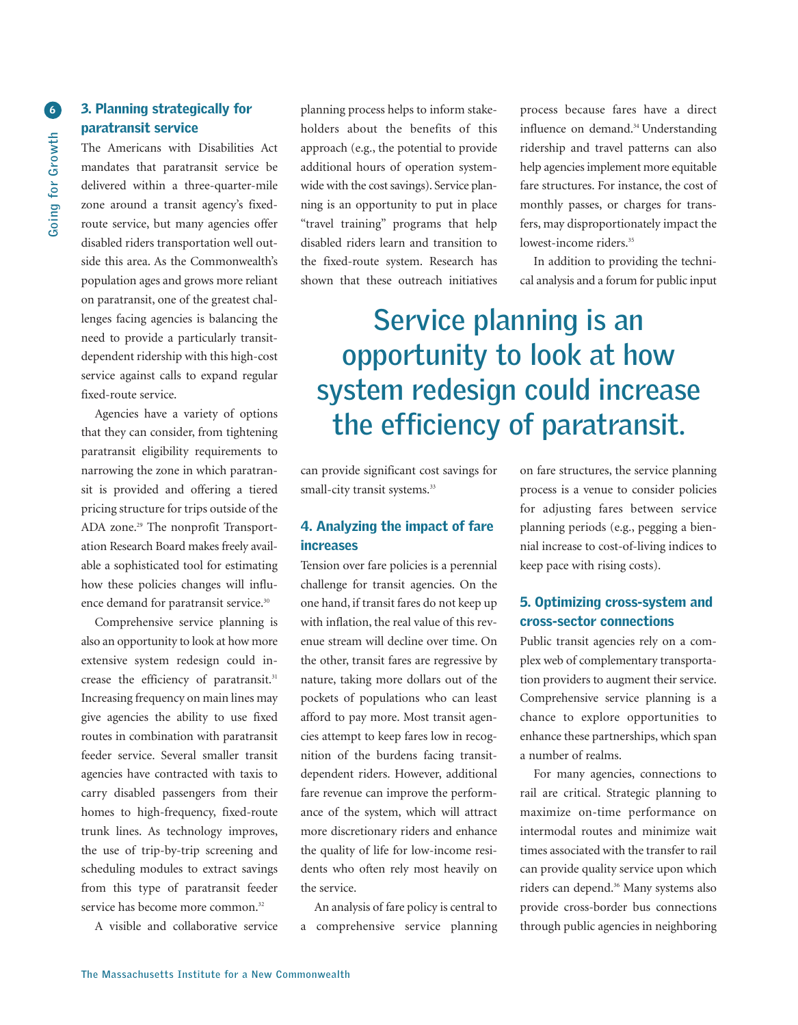## **3. Planning strategically for paratransit service**

The Americans with Disabilities Act mandates that paratransit service be delivered within a three-quarter-mile zone around a transit agency's fixedroute service, but many agencies offer disabled riders transportation well outside this area. As the Commonwealth's population ages and grows more reliant on paratransit, one of the greatest challenges facing agencies is balancing the need to provide a particularly transitdependent ridership with this high-cost service against calls to expand regular fixed-route service.

Agencies have a variety of options that they can consider, from tightening paratransit eligibility requirements to narrowing the zone in which paratransit is provided and offering a tiered pricing structure for trips outside of the ADA zone. <sup>29</sup> The nonprofit Transportation Research Board makes freely available a sophisticated tool for estimating how these policies changes will influence demand for paratransit service. 30

Comprehensive service planning is also an opportunity to look at how more extensive system redesign could increase the efficiency of paratransit. 31 Increasing frequency on main lines may give agencies the ability to use fixed routes in combination with paratransit feeder service. Several smaller transit agencies have contracted with taxis to carry disabled passengers from their homes to high-frequency, fixed-route trunk lines. As technology improves, the use of trip-by-trip screening and scheduling modules to extract savings from this type of paratransit feeder service has become more common.<sup>32</sup>

A visible and collaborative service

planning process helps to inform stakeholders about the benefits of this approach (e.g., the potential to provide additional hours of operation systemwide with the cost savings). Service planning is an opportunity to put in place "travel training" programs that help disabled riders learn and transition to the fixed-route system. Research has shown that these outreach initiatives

process because fares have a direct influence on demand. <sup>34</sup> Understanding ridership and travel patterns can also help agencies implement more equitable fare structures. For instance, the cost of monthly passes, or charges for transfers, may disproportionately impact the lowest-income riders. 35

In addition to providing the technical analysis and a forum for public input

## **Service planning is an opportunity to look at how system redesign could increase the efficiency of paratransit.**

can provide significant cost savings for small-city transit systems.<sup>33</sup>

## **4. Analyzing the impact of fare increases**

Tension over fare policies is a perennial challenge for transit agencies. On the one hand, if transit fares do not keep up with inflation, the real value of this revenue stream will decline over time. On the other, transit fares are regressive by nature, taking more dollars out of the pockets of populations who can least afford to pay more. Most transit agencies attempt to keep fares low in recognition of the burdens facing transitdependent riders. However, additional fare revenue can improve the performance of the system, which will attract more discretionary riders and enhance the quality of life for low-income residents who often rely most heavily on the service.

An analysis of fare policy is central to a comprehensive service planning

on fare structures, the service planning process is a venue to consider policies for adjusting fares between service planning periods (e.g., pegging a biennial increase to cost-of-living indices to keep pace with rising costs).

## **5. Optimizing cross-system and cross-sector connections**

Public transit agencies rely on a complex web of complementary transportation providers to augment their service. Comprehensive service planning is a chance to explore opportunities to enhance these partnerships, which span a number of realms.

For many agencies, connections to rail are critical. Strategic planning to maximize on-time performance on intermodal routes and minimize wait times associated with the transfer to rail can provide quality service upon which riders can depend. <sup>36</sup> Many systems also provide cross-border bus connections through public agencies in neighboring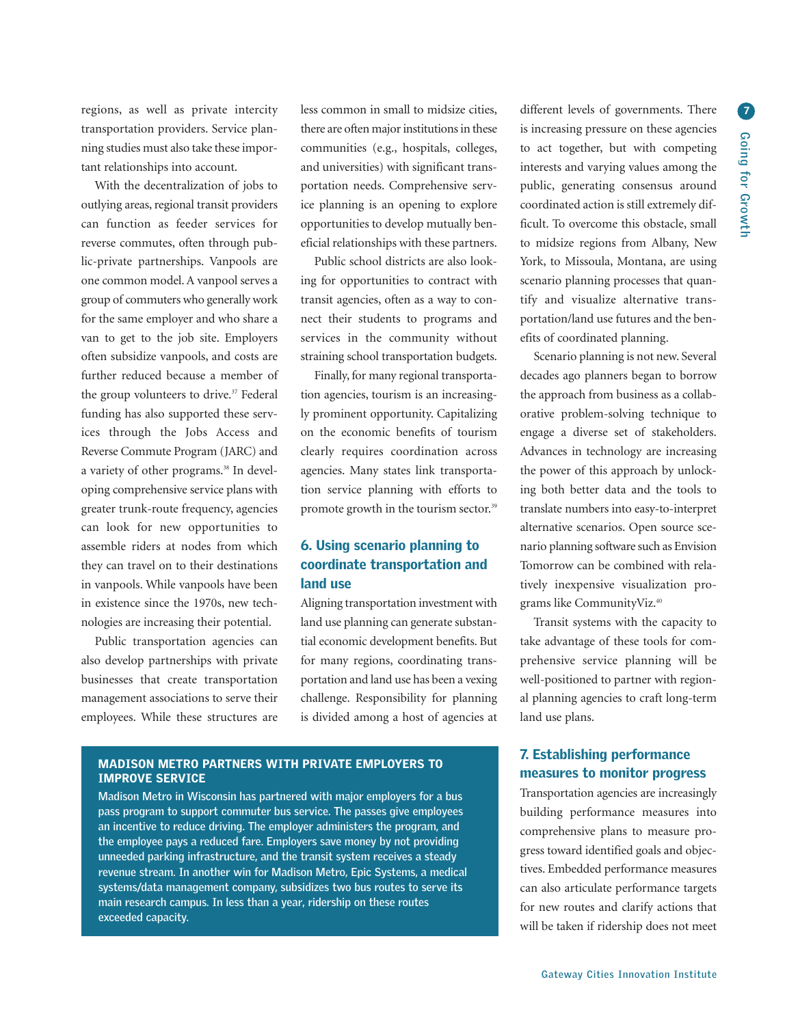transportation providers. Service planning studies must also take these important relationships into account.

With the decentralization of jobs to outlying areas, regional transit providers can function as feeder services for reverse commutes, often through public-private partnerships. Vanpools are one common model.A vanpool serves a group of commuters who generally work for the same employer and who share a van to get to the job site. Employers often subsidize vanpools, and costs are further reduced because a member of the group volunteers to drive. <sup>37</sup> Federal funding has also supported these services through the Jobs Access and Reverse Commute Program (JARC) and a variety of other programs. <sup>38</sup> In developing comprehensive service plans with greater trunk-route frequency, agencies can look for new opportunities to assemble riders at nodes from which they can travel on to their destinations in vanpools. While vanpools have been in existence since the 1970s, new technologies are increasing their potential.

Public transportation agencies can also develop partnerships with private businesses that create transportation management associations to serve their employees. While these structures are

regions, as well as private intercity less common in small to midsize cities, different levels of governments. There less common in small to midsize cities, there are often major institutions in these communities (e.g., hospitals, colleges, and universities) with significant transportation needs. Comprehensive service planning is an opening to explore opportunities to develop mutually beneficial relationships with these partners.

> Public school districts are also looking for opportunities to contract with transit agencies, often as a way to connect their students to programs and services in the community without straining school transportation budgets.

> Finally, for many regional transportation agencies, tourism is an increasingly prominent opportunity. Capitalizing on the economic benefits of tourism clearly requires coordination across agencies. Many states link transportation service planning with efforts to promote growth in the tourism sector. 39

## **6. Using scenario planning to coordinate transportation and land use**

Aligning transportation investment with land use planning can generate substantial economic development benefits. But for many regions, coordinating transportation and land use has been a vexing challenge. Responsibility for planning is divided among a host of agencies at

## **MADISON METRO PARTNERS WITH PRIVATE EMPLOYERS TO IMPROVE SERVICE**

**Madison Metro in Wisconsin has partnered with major employers for a bus pass program to support commuter bus service. The passes give employees an incentive to reduce driving. The employer administers the program, and the employee pays a reduced fare. Employers save money by not providing unneeded parking infrastructure, and the transit system receives a steady revenue stream. In another win for Madison Metro, Epic Systems, a medical systems/data management company, subsidizes two bus routes to serve its main research campus. In less than a year, ridership on these routes exceeded capacity.**

is increasing pressure on these agencies to act together, but with competing interests and varying values among the public, generating consensus around coordinated action is still extremely difficult. To overcome this obstacle, small to midsize regions from Albany, New York, to Missoula, Montana, are using scenario planning processes that quantify and visualize alternative transportation/land use futures and the benefits of coordinated planning.

Scenario planning is not new. Several decades ago planners began to borrow the approach from business as a collaborative problem-solving technique to engage a diverse set of stakeholders. Advances in technology are increasing the power of this approach by unlocking both better data and the tools to translate numbers into easy-to-interpret alternative scenarios. Open source scenario planning software such as Envision Tomorrow can be combined with relatively inexpensive visualization programs like CommunityViz. 40

Transit systems with the capacity to take advantage of these tools for comprehensive service planning will be well-positioned to partner with regional planning agencies to craft long-term land use plans.

## **7. Establishing performance measures to monitor progress**

Transportation agencies are increasingly building performance measures into comprehensive plans to measure progress toward identified goals and objectives. Embedded performance measures can also articulate performance targets for new routes and clarify actions that will be taken if ridership does not meet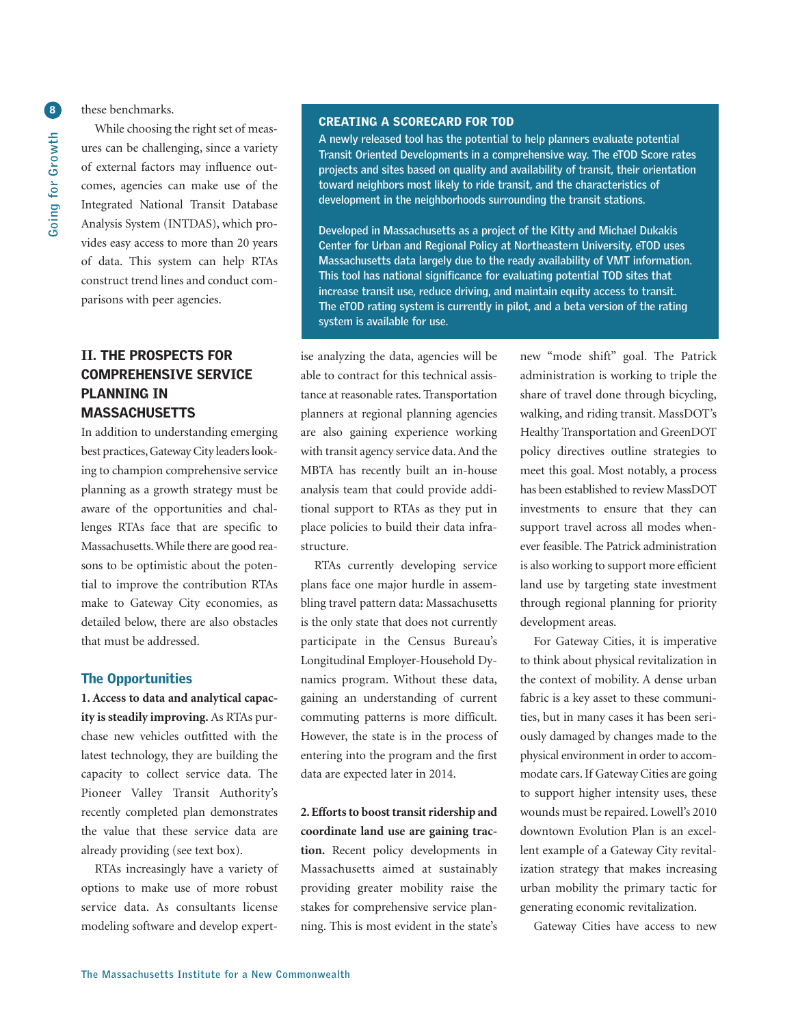these benchmarks.

While choosing the right set of measures can be challenging, since a variety of external factors may influence outcomes, agencies can make use of the Integrated National Transit Database Analysis System (INTDAS), which provides easy access to more than 20 years of data. This system can help RTAs construct trend lines and conduct comparisons with peer agencies.

## **II. THE PROSPECTS FOR COMPREHENSIVE SERVICE PLANNING IN MASSACHUSETTS**

In addition to understanding emerging best practices, Gateway City leaders looking to champion comprehensive service planning as a growth strategy must be aware of the opportunities and challenges RTAs face that are specific to Massachusetts.While there are good reasons to be optimistic about the potential to improve the contribution RTAs make to Gateway City economies, as detailed below, there are also obstacles that must be addressed.

#### **The Opportunities**

**1. Access to data and analytical capacity issteadily improving.** As RTAs purchase new vehicles outfitted with the latest technology, they are building the capacity to collect service data. The Pioneer Valley Transit Authority's recently completed plan demonstrates the value that these service data are already providing (see text box).

RTAs increasingly have a variety of options to make use of more robust service data. As consultants license modeling software and develop expert-

#### **CREATING A SCORECARD FOR TOD**

**A newly released tool has the potential to help planners evaluate potential Transit Oriented Developments in a comprehensive way. The eTOD Score rates projects and sites based on quality and availability of transit, their orientation toward neighbors most likely to ride transit, and the characteristics of development in the neighborhoods surrounding the transit stations.**

**Developed in Massachusetts as a project of the Kitty and Michael Dukakis Center for Urban and Regional Policy at Northeastern University, eTOD uses Massachusetts data largely due to the ready availability of VMT information. This tool has national significance for evaluating potential TOD sites that increase transit use, reduce driving, and maintain equity access to transit. The eTOD rating system is currently in pilot, and a beta version of the rating system is available for use.**

ise analyzing the data, agencies will be able to contract for this technical assistance at reasonable rates. Transportation planners at regional planning agencies are also gaining experience working with transit agency service data.And the MBTA has recently built an in-house analysis team that could provide additional support to RTAs as they put in place policies to build their data infrastructure.

RTAs currently developing service plans face one major hurdle in assembling travel pattern data: Massachusetts is the only state that does not currently participate in the Census Bureau's Longitudinal Employer-Household Dynamics program. Without these data, gaining an understanding of current commuting patterns is more difficult. However, the state is in the process of entering into the program and the first data are expected later in 2014.

**2.Effortsto boost transitridership and coordinate land use are gaining traction.** Recent policy developments in Massachusetts aimed at sustainably providing greater mobility raise the stakes for comprehensive service planning. This is most evident in the state's

new "mode shift" goal. The Patrick administration is working to triple the share of travel done through bicycling, walking, and riding transit. MassDOT's Healthy Transportation and GreenDOT policy directives outline strategies to meet this goal. Most notably, a process has been established to review MassDOT investments to ensure that they can support travel across all modes whenever feasible. The Patrick administration is also working to support more efficient land use by targeting state investment through regional planning for priority development areas.

For Gateway Cities, it is imperative to think about physical revitalization in the context of mobility. A dense urban fabric is a key asset to these communities, but in many cases it has been seriously damaged by changes made to the physical environment in order to accommodate cars.If Gateway Cities are going to support higher intensity uses, these wounds must be repaired. Lowell's 2010 downtown Evolution Plan is an excellent example of a Gateway City revitalization strategy that makes increasing urban mobility the primary tactic for generating economic revitalization.

Gateway Cities have access to new

**8**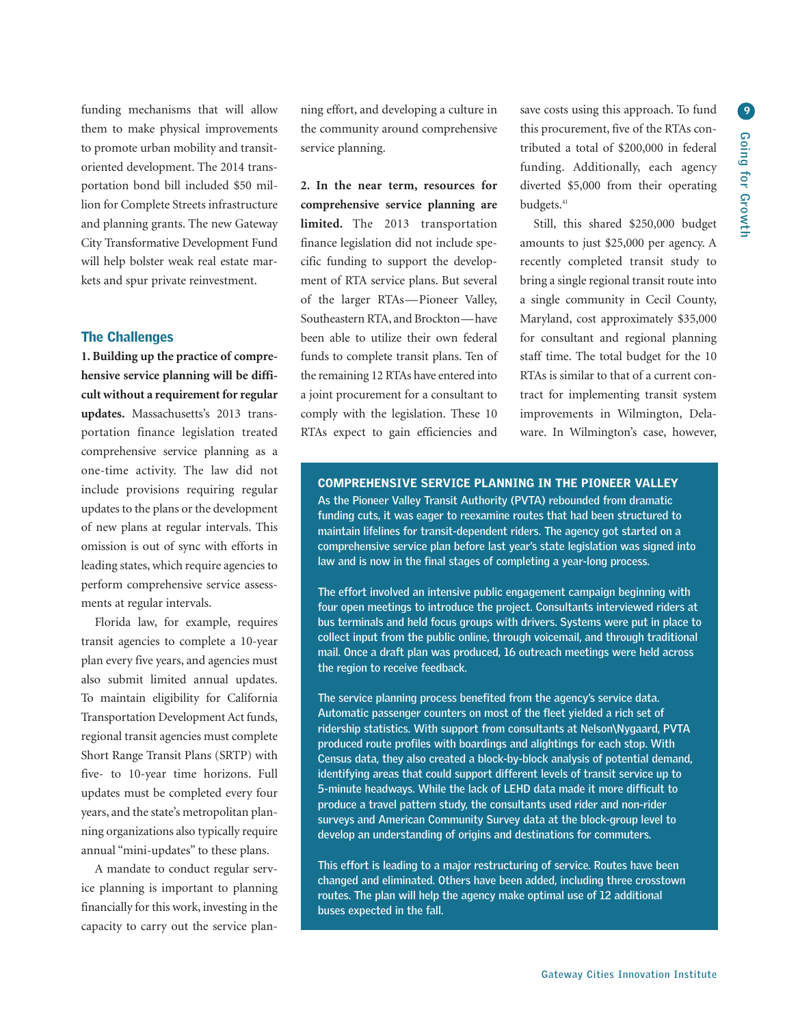funding mechanisms that will allow them to make physical improvements to promote urban mobility and transitoriented development. The 2014 transportation bond bill included \$50 million for Complete Streets infrastructure and planning grants. The new Gateway City Transformative Development Fund will help bolster weak real estate markets and spur private reinvestment.

#### **The Challenges**

**1. Building up the practice of comprehensive service planning will be difficult without a requirement forregular updates.** Massachusetts's 2013 transportation finance legislation treated comprehensive service planning as a one-time activity. The law did not include provisions requiring regular updates to the plans or the development of new plans at regular intervals. This omission is out of sync with efforts in leading states,which require agencies to perform comprehensive service assessments at regular intervals.

Florida law, for example, requires transit agencies to complete a 10-year plan every five years, and agencies must also submit limited annual updates. To maintain eligibility for California Transportation Development Act funds, regional transit agencies must complete Short Range Transit Plans (SRTP) with five- to 10-year time horizons. Full updates must be completed every four years, and the state's metropolitan planning organizations also typically require annual "mini-updates" to these plans.

A mandate to conduct regular service planning is important to planning financially for this work, investing in the capacity to carry out the service planning effort, and developing a culture in the community around comprehensive service planning.

**2. In the near term, resources for comprehensive service planning are limited.** The 2013 transportation finance legislation did not include specific funding to support the development of RTA service plans. But several of the larger RTAs—Pioneer Valley, Southeastern RTA, and Brockton—have been able to utilize their own federal funds to complete transit plans. Ten of the remaining 12 RTAs have entered into a joint procurement for a consultant to comply with the legislation. These 10 RTAs expect to gain efficiencies and

save costs using this approach. To fund this procurement, five of the RTAs contributed a total of \$200,000 in federal funding. Additionally, each agency diverted \$5,000 from their operating budgets. 41

Still, this shared \$250,000 budget amounts to just \$25,000 per agency. A recently completed transit study to bring a single regional transit route into a single community in Cecil County, Maryland, cost approximately \$35,000 for consultant and regional planning staff time. The total budget for the 10 RTAs is similar to that of a current contract for implementing transit system improvements in Wilmington, Delaware. In Wilmington's case, however,

### **COMPREHENSIVE SERVICE PLANNING IN THE PIONEER VALLEY**

**As the Pioneer Valley Transit Authority (PVTA) rebounded from dramatic funding cuts, it was eager to reexamine routes that had been structured to maintain lifelines for transit-dependent riders. The agency got started on a comprehensive service plan before last year's state legislation was signed into law and is now in the final stages of completing a year-long process.**

**The effort involved an intensive public engagement campaign beginning with four open meetings to introduce the project. Consultants interviewed riders at bus terminals and held focus groups with drivers. Systems were put in place to collect input from the public online, through voicemail, and through traditional mail. Once a draft plan was produced, 16 outreach meetings were held across the region to receive feedback.**

**The service planning process benefited from the agency's service data. Automatic passenger counters on most of the fleet yielded a rich set of ridership statistics. With support from consultants at Nelson\Nygaard, PVTA produced route profiles with boardings and alightings for each stop. With Census data, they also created a block-by-block analysis of potential demand, identifying areas that could support different levels of transit service up to 5-minute headways. While the lack of LEHD data made it more difficult to produce a travel pattern study, the consultants used rider and non-rider surveys and American Community Survey data at the block-group level to develop an understanding of origins and destinations for commuters.**

**This effort is leading to a major restructuring of service. Routes have been changed and eliminated. Others have been added, including three crosstown routes. The plan will help the agency make optimal use of 12 additional buses expected in the fall.**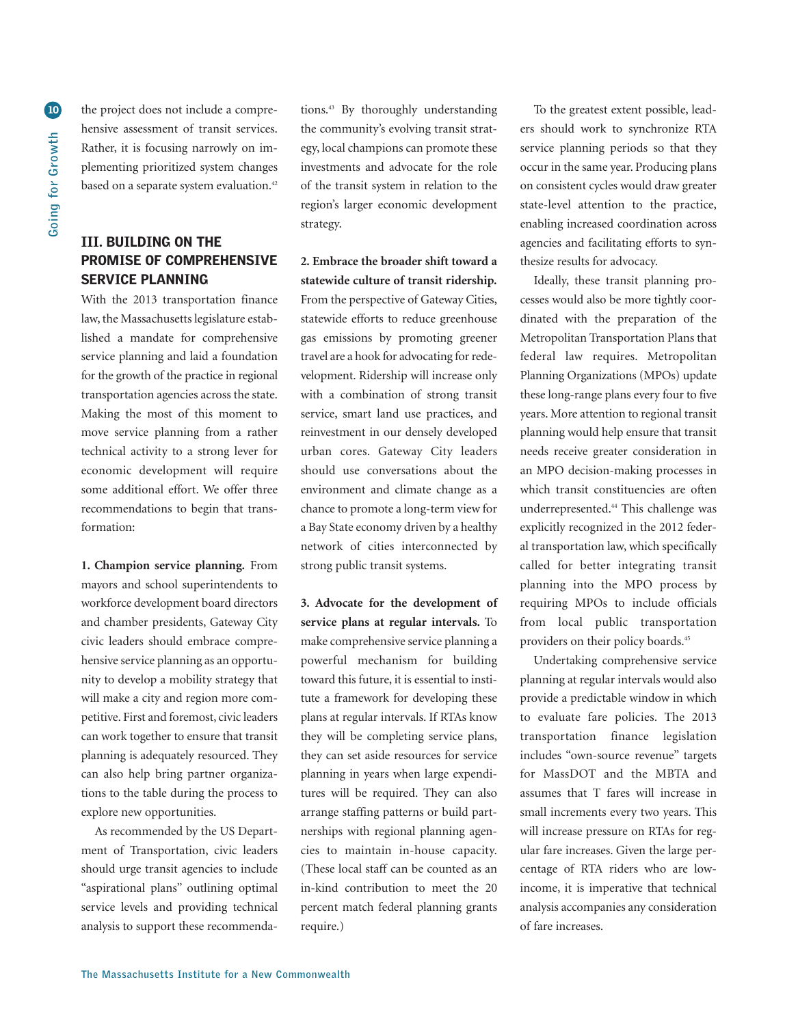the project does not include a comprehensive assessment of transit services. Rather, it is focusing narrowly on implementing prioritized system changes based on a separate system evaluation.<sup>42</sup>

## **III. BUILDING ON THE PROMISE OF COMPREHENSIVE SERVICE PLANNING**

With the 2013 transportation finance law, the Massachusetts legislature established a mandate for comprehensive service planning and laid a foundation for the growth of the practice in regional transportation agencies across the state. Making the most of this moment to move service planning from a rather technical activity to a strong lever for economic development will require some additional effort. We offer three recommendations to begin that transformation:

**1. Champion service planning.** From mayors and school superintendents to workforce development board directors and chamber presidents, Gateway City civic leaders should embrace comprehensive service planning as an opportunity to develop a mobility strategy that will make a city and region more competitive. First and foremost, civic leaders can work together to ensure that transit planning is adequately resourced. They can also help bring partner organizations to the table during the process to explore new opportunities.

As recommended by the US Department of Transportation, civic leaders should urge transit agencies to include "aspirational plans" outlining optimal service levels and providing technical analysis to support these recommenda-

tions. <sup>43</sup> By thoroughly understanding the community's evolving transit strategy, local champions can promote these investments and advocate for the role of the transit system in relation to the region's larger economic development strategy.

**2. Embrace the broader shift toward a statewide culture of transit ridership.** From the perspective of Gateway Cities, statewide efforts to reduce greenhouse gas emissions by promoting greener travel are a hook for advocating for redevelopment. Ridership will increase only with a combination of strong transit service, smart land use practices, and reinvestment in our densely developed urban cores. Gateway City leaders should use conversations about the environment and climate change as a chance to promote a long-term view for a Bay State economy driven by a healthy network of cities interconnected by strong public transit systems.

**3. Advocate for the development of service plans at regular intervals.** To make comprehensive service planning a powerful mechanism for building toward this future, it is essential to institute a framework for developing these plans at regular intervals. If RTAs know they will be completing service plans, they can set aside resources for service planning in years when large expenditures will be required. They can also arrange staffing patterns or build partnerships with regional planning agencies to maintain in-house capacity. (These local staff can be counted as an in-kind contribution to meet the 20 percent match federal planning grants require.)

To the greatest extent possible, leaders should work to synchronize RTA service planning periods so that they occur in the same year. Producing plans on consistent cycles would draw greater state-level attention to the practice, enabling increased coordination across agencies and facilitating efforts to synthesize results for advocacy.

Ideally, these transit planning processes would also be more tightly coordinated with the preparation of the Metropolitan Transportation Plans that federal law requires. Metropolitan Planning Organizations (MPOs) update these long-range plans every four to five years. More attention to regional transit planning would help ensure that transit needs receive greater consideration in an MPO decision-making processes in which transit constituencies are often underrepresented. <sup>44</sup> This challenge was explicitly recognized in the 2012 federal transportation law, which specifically called for better integrating transit planning into the MPO process by requiring MPOs to include officials from local public transportation providers on their policy boards. 45

Undertaking comprehensive service planning at regular intervals would also provide a predictable window in which to evaluate fare policies. The 2013 transportation finance legislation includes "own-source revenue" targets for MassDOT and the MBTA and assumes that T fares will increase in small increments every two years. This will increase pressure on RTAs for regular fare increases. Given the large percentage of RTA riders who are lowincome, it is imperative that technical analysis accompanies any consideration of fare increases.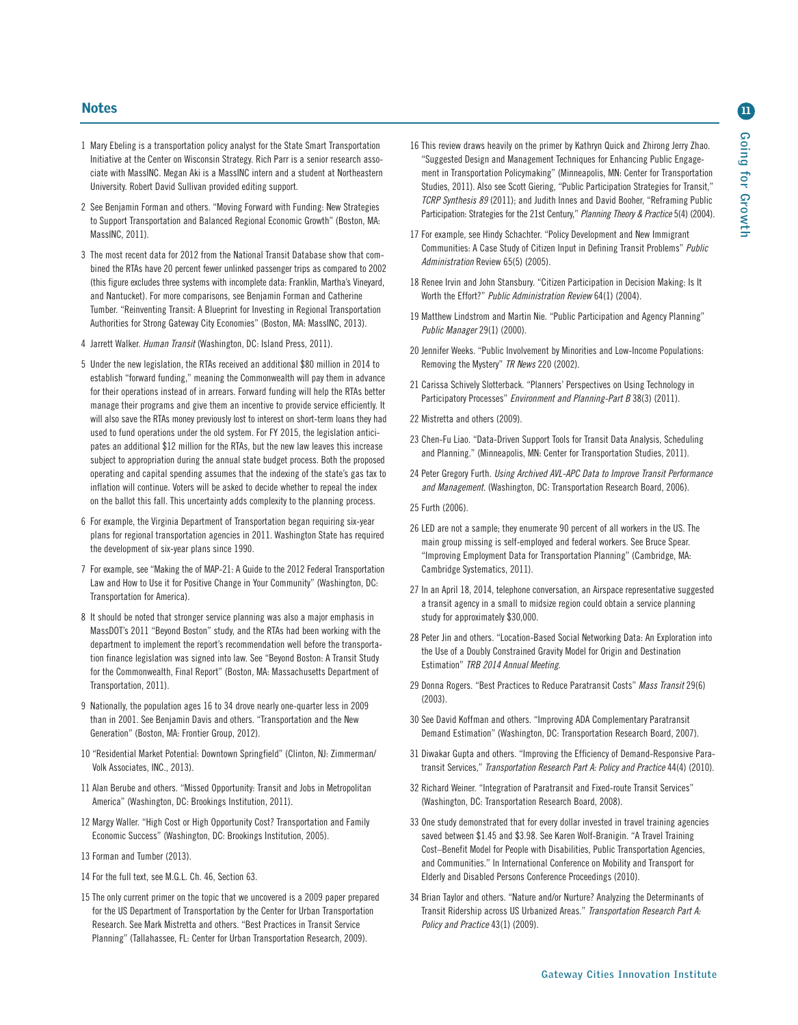- 1 Mary Ebeling is a transportation policy analyst for the State Smart Transportation Initiative at the Center on Wisconsin Strategy. Rich Parr is a senior research associate with MassINC. Megan Aki is a MassINC intern and a student at Northeastern University. Robert David Sullivan provided editing support.
- 2 See Benjamin Forman and others. "Moving Forward with Funding: New Strategies to Support Transportation and Balanced Regional Economic Growth" (Boston, MA: MassINC, 2011).
- 3 The most recent data for 2012 from the National Transit Database show that combined the RTAs have 20 percent fewer unlinked passenger trips as compared to 2002 (this figure excludes three systems with incomplete data: Franklin, Martha's Vineyard, and Nantucket). For more comparisons, see Benjamin Forman and Catherine Tumber. "Reinventing Transit: A Blueprint for Investing in Regional Transportation Authorities for Strong Gateway City Economies" (Boston, MA: MassINC, 2013).
- 4 Jarrett Walker. *Human Transit* (Washington, DC: Island Press, 2011).
- 5 Under the new legislation, the RTAs received an additional \$80 million in 2014 to establish "forward funding," meaning the Commonwealth will pay them in advance for their operations instead of in arrears. Forward funding will help the RTAs better manage their programs and give them an incentive to provide service efficiently. It will also save the RTAs money previously lost to interest on short-term loans they had used to fund operations under the old system. For FY 2015, the legislation anticipates an additional \$12 million for the RTAs, but the new law leaves this increase subject to appropriation during the annual state budget process. Both the proposed operating and capital spending assumes that the indexing of the state's gas tax to inflation will continue. Voters will be asked to decide whether to repeal the index on the ballot this fall. This uncertainty adds complexity to the planning process.
- 6 For example, the Virginia Department of Transportation began requiring six-year plans for regional transportation agencies in 2011. Washington State has required the development of six-year plans since 1990.
- 7 For example, see "Making the of MAP-21: A Guide to the 2012 Federal Transportation Law and How to Use it for Positive Change in Your Community" (Washington, DC: Transportation for America).
- 8 It should be noted that stronger service planning was also a major emphasis in MassDOT's 2011 "Beyond Boston" study, and the RTAs had been working with the department to implement the report's recommendation well before the transportation finance legislation was signed into law. See "Beyond Boston: A Transit Study for the Commonwealth, Final Report" (Boston, MA: Massachusetts Department of Transportation, 2011).
- 9 Nationally, the population ages 16 to 34 drove nearly one-quarter less in 2009 than in 2001. See Benjamin Davis and others. "Transportation and the New Generation" (Boston, MA: Frontier Group, 2012).
- 10 "Residential Market Potential: Downtown Springfield" (Clinton, NJ: Zimmerman/ Volk Associates, INC., 2013).
- 11 Alan Berube and others. "Missed Opportunity: Transit and Jobs in Metropolitan America" (Washington, DC: Brookings Institution, 2011).
- 12 Margy Waller. "High Cost or High Opportunity Cost? Transportation and Family Economic Success" (Washington, DC: Brookings Institution, 2005).
- 13 Forman and Tumber (2013).
- 14 For the full text, see M.G.L. Ch. 46, Section 63.
- 15 The only current primer on the topic that we uncovered is a 2009 paper prepared for the US Department of Transportation by the Center for Urban Transportation Research. See Mark Mistretta and others. "Best Practices in Transit Service Planning" (Tallahassee, FL: Center for Urban Transportation Research, 2009).
- 16 This review draws heavily on the primer by Kathryn Quick and Zhirong Jerry Zhao. "Suggested Design and Management Techniques for Enhancing Public Engagement in Transportation Policymaking" (Minneapolis, MN: Center for Transportation Studies, 2011). Also see Scott Giering, "Public Participation Strategies for Transit," *TCRP Synthesis 89* (2011); and Judith Innes and David Booher, "Reframing Public Participation: Strategies for the 21st Century," *Planning Theory & Practice* 5(4) (2004).
- 17 For example, see Hindy Schachter. "Policy Development and New Immigrant Communities: A Case Study of Citizen Input in Defining Transit Problems" *Public Administration* Review 65(5) (2005).
- 18 Renee Irvin and John Stansbury. "Citizen Participation in Decision Making: Is It Worth the Effort?" *Public Administration Review* 64(1) (2004).
- 19 Matthew Lindstrom and Martin Nie. "Public Participation and Agency Planning" *Public Manager* 29(1) (2000).
- 20 Jennifer Weeks. "Public Involvement by Minorities and Low-Income Populations: Removing the Mystery" *TR News* 220 (2002).
- 21 Carissa Schively Slotterback. "Planners' Perspectives on Using Technology in Participatory Processes" *Environment and Planning-Part B* 38(3) (2011).
- 22 Mistretta and others (2009).
- 23 Chen-Fu Liao. "Data-Driven Support Tools for Transit Data Analysis, Scheduling and Planning." (Minneapolis, MN: Center for Transportation Studies, 2011).
- 24 Peter Gregory Furth. *Using Archived AVL-APC Data to Improve Transit Performance and Management*. (Washington, DC: Transportation Research Board, 2006).
- 25 Furth (2006).
- 26 LED are not a sample; they enumerate 90 percent of all workers in the US. The main group missing is self-employed and federal workers. See Bruce Spear. "Improving Employment Data for Transportation Planning" (Cambridge, MA: Cambridge Systematics, 2011).
- 27 In an April 18, 2014, telephone conversation, an Airspace representative suggested a transit agency in a small to midsize region could obtain a service planning study for approximately \$30,000.
- 28 Peter Jin and others. "Location-Based Social Networking Data: An Exploration into the Use of a Doubly Constrained Gravity Model for Origin and Destination Estimation" *TRB 2014 Annual Meeting*.
- 29 Donna Rogers. "Best Practices to Reduce Paratransit Costs" *Mass Transit* 29(6) (2003).
- 30 See David Koffman and others. "Improving ADA Complementary Paratransit Demand Estimation" (Washington, DC: Transportation Research Board, 2007).
- 31 Diwakar Gupta and others. "Improving the Efficiency of Demand-Responsive Paratransit Services," *Transportation Research Part A: Policy and Practice* 44(4) (2010).
- 32 Richard Weiner. "Integration of Paratransit and Fixed-route Transit Services" (Washington, DC: Transportation Research Board, 2008).
- 33 One study demonstrated that for every dollar invested in travel training agencies saved between \$1.45 and \$3.98. See Karen Wolf-Branigin. "A Travel Training Cost–Benefit Model for People with Disabilities, Public Transportation Agencies, and Communities." In International Conference on Mobility and Transport for Elderly and Disabled Persons Conference Proceedings (2010).
- 34 Brian Taylor and others. "Nature and/or Nurture? Analyzing the Determinants of Transit Ridership across US Urbanized Areas." *Transportation Research Part A: Policy and Practice* 43(1) (2009).